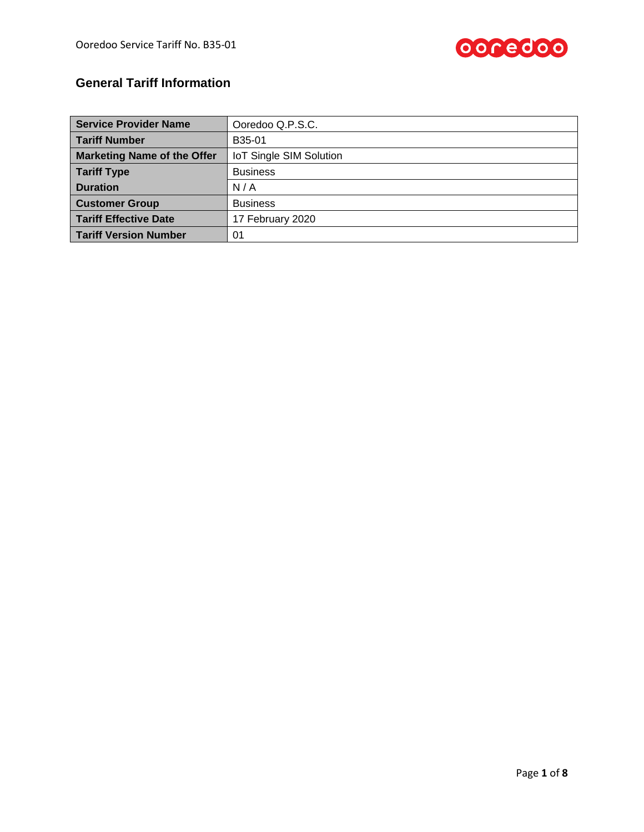

# **General Tariff Information**

| <b>Service Provider Name</b>       | Ooredoo Q.P.S.C.               |
|------------------------------------|--------------------------------|
| <b>Tariff Number</b>               | B35-01                         |
| <b>Marketing Name of the Offer</b> | <b>IoT Single SIM Solution</b> |
| <b>Tariff Type</b>                 | <b>Business</b>                |
| <b>Duration</b>                    | N/A                            |
| <b>Customer Group</b>              | <b>Business</b>                |
| <b>Tariff Effective Date</b>       | 17 February 2020               |
| <b>Tariff Version Number</b>       | 01                             |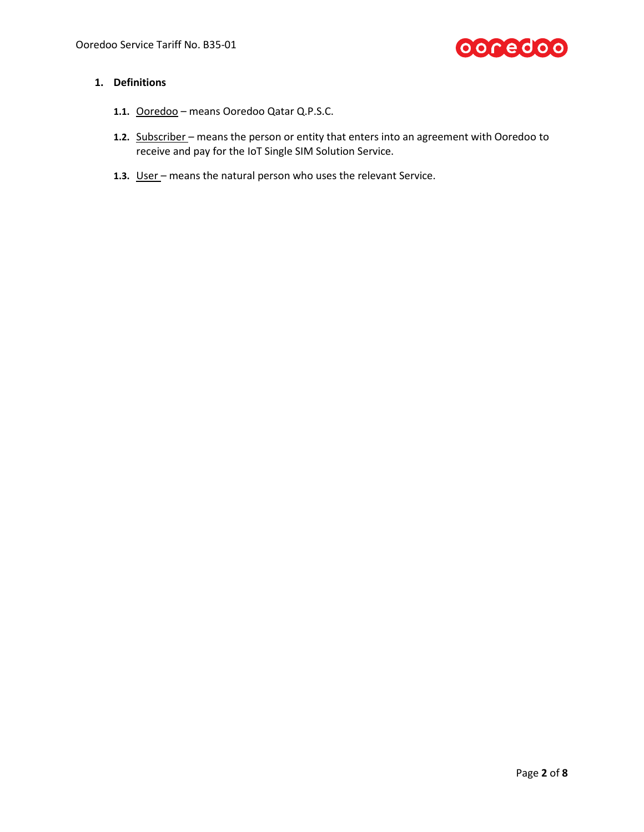

# **1. Definitions**

- **1.1.** Ooredoo means Ooredoo Qatar Q.P.S.C.
- **1.2.** Subscriber means the person or entity that enters into an agreement with Ooredoo to receive and pay for the IoT Single SIM Solution Service.
- **1.3.** User means the natural person who uses the relevant Service.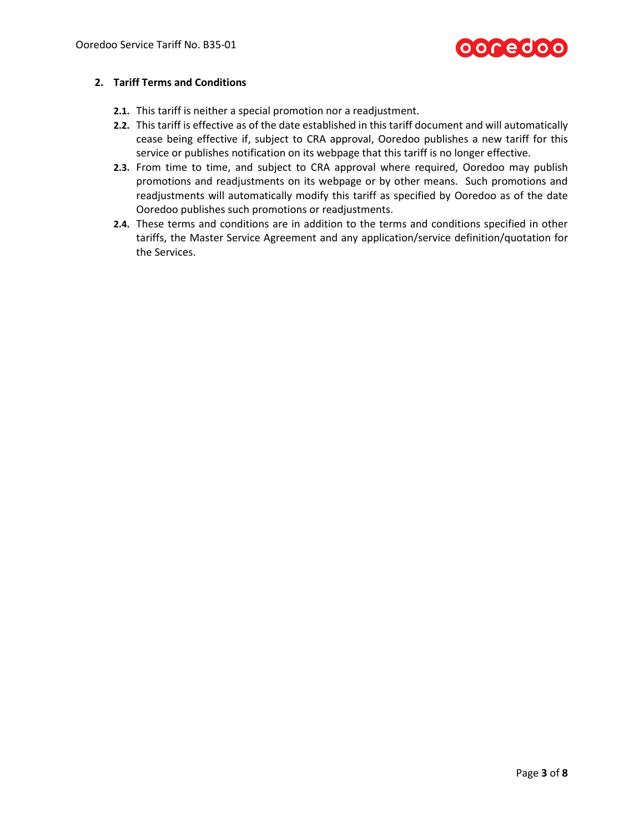

### **2. Tariff Terms and Conditions**

- **2.1.** This tariff is neither a special promotion nor a readjustment.
- **2.2.** This tariff is effective as of the date established in this tariff document and will automatically cease being effective if, subject to CRA approval, Ooredoo publishes a new tariff for this service or publishes notification on its webpage that this tariff is no longer effective.
- **2.3.** From time to time, and subject to CRA approval where required, Ooredoo may publish promotions and readjustments on its webpage or by other means. Such promotions and readjustments will automatically modify this tariff as specified by Ooredoo as of the date Ooredoo publishes such promotions or readjustments.
- **2.4.** These terms and conditions are in addition to the terms and conditions specified in other tariffs, the Master Service Agreement and any application/service definition/quotation for the Services.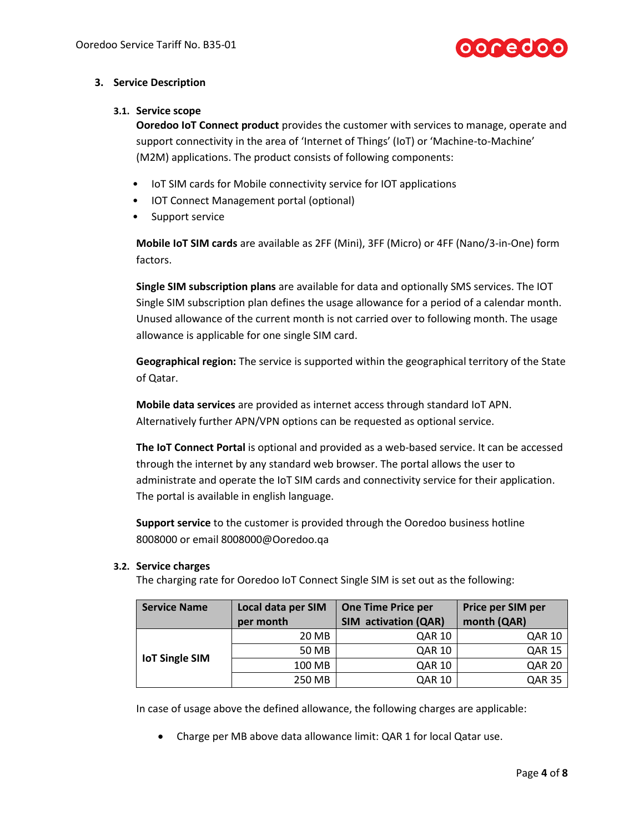

## **3. Service Description**

### **3.1. Service scope**

**Ooredoo IoT Connect product** provides the customer with services to manage, operate and support connectivity in the area of 'Internet of Things' (IoT) or 'Machine-to-Machine' (M2M) applications. The product consists of following components:

- IoT SIM cards for Mobile connectivity service for IOT applications
- IOT Connect Management portal (optional)
- Support service

**Mobile IoT SIM cards** are available as 2FF (Mini), 3FF (Micro) or 4FF (Nano/3-in-One) form factors.

**Single SIM subscription plans** are available for data and optionally SMS services. The IOT Single SIM subscription plan defines the usage allowance for a period of a calendar month. Unused allowance of the current month is not carried over to following month. The usage allowance is applicable for one single SIM card.

**Geographical region:** The service is supported within the geographical territory of the State of Qatar.

**Mobile data services** are provided as internet access through standard IoT APN. Alternatively further APN/VPN options can be requested as optional service.

**The IoT Connect Portal** is optional and provided as a web-based service. It can be accessed through the internet by any standard web browser. The portal allows the user to administrate and operate the IoT SIM cards and connectivity service for their application. The portal is available in english language.

**Support service** to the customer is provided through the Ooredoo business hotline 8008000 or email 8008000@Ooredoo.qa

#### **3.2. Service charges**

The charging rate for Ooredoo IoT Connect Single SIM is set out as the following:

| <b>Service Name</b>   | Local data per SIM | <b>One Time Price per</b> | Price per SIM per |
|-----------------------|--------------------|---------------------------|-------------------|
|                       | per month          | SIM activation (QAR)      | month (QAR)       |
| <b>IoT Single SIM</b> | 20 MB              | <b>QAR 10</b>             | <b>QAR 10</b>     |
|                       | 50 MB              | <b>QAR 10</b>             | <b>QAR 15</b>     |
|                       | 100 MB             | <b>QAR 10</b>             | <b>QAR 20</b>     |
|                       | 250 MB             | QAR 10                    | <b>QAR 35</b>     |

In case of usage above the defined allowance, the following charges are applicable:

Charge per MB above data allowance limit: QAR 1 for local Qatar use.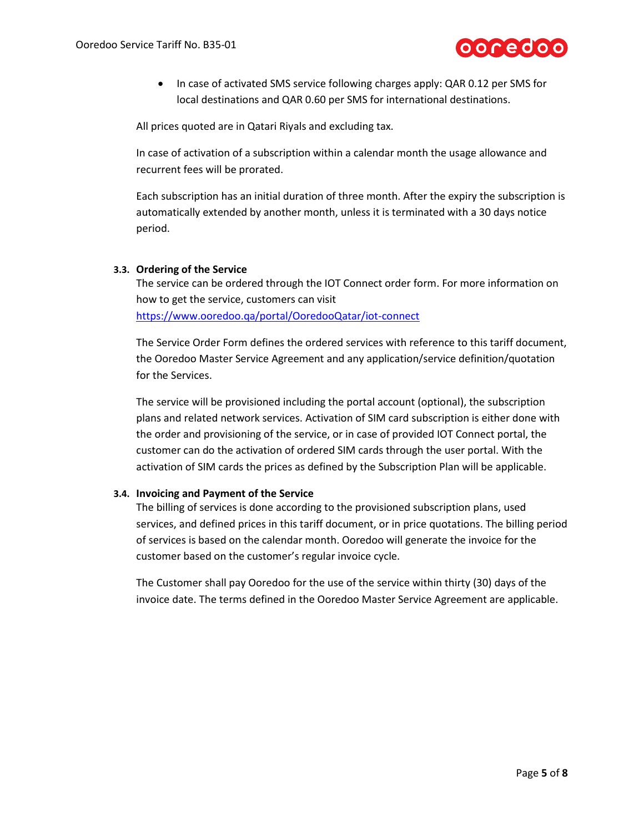

• In case of activated SMS service following charges apply: QAR 0.12 per SMS for local destinations and QAR 0.60 per SMS for international destinations.

All prices quoted are in Qatari Riyals and excluding tax.

In case of activation of a subscription within a calendar month the usage allowance and recurrent fees will be prorated.

Each subscription has an initial duration of three month. After the expiry the subscription is automatically extended by another month, unless it is terminated with a 30 days notice period.

#### **3.3. Ordering of the Service**

The service can be ordered through the IOT Connect order form. For more information on how to get the service, customers can visit <https://www.ooredoo.qa/portal/OoredooQatar/iot-connect>

The Service Order Form defines the ordered services with reference to this tariff document, the Ooredoo Master Service Agreement and any application/service definition/quotation for the Services.

The service will be provisioned including the portal account (optional), the subscription plans and related network services. Activation of SIM card subscription is either done with the order and provisioning of the service, or in case of provided IOT Connect portal, the customer can do the activation of ordered SIM cards through the user portal. With the activation of SIM cards the prices as defined by the Subscription Plan will be applicable.

#### **3.4. Invoicing and Payment of the Service**

The billing of services is done according to the provisioned subscription plans, used services, and defined prices in this tariff document, or in price quotations. The billing period of services is based on the calendar month. Ooredoo will generate the invoice for the customer based on the customer's regular invoice cycle.

The Customer shall pay Ooredoo for the use of the service within thirty (30) days of the invoice date. The terms defined in the Ooredoo Master Service Agreement are applicable.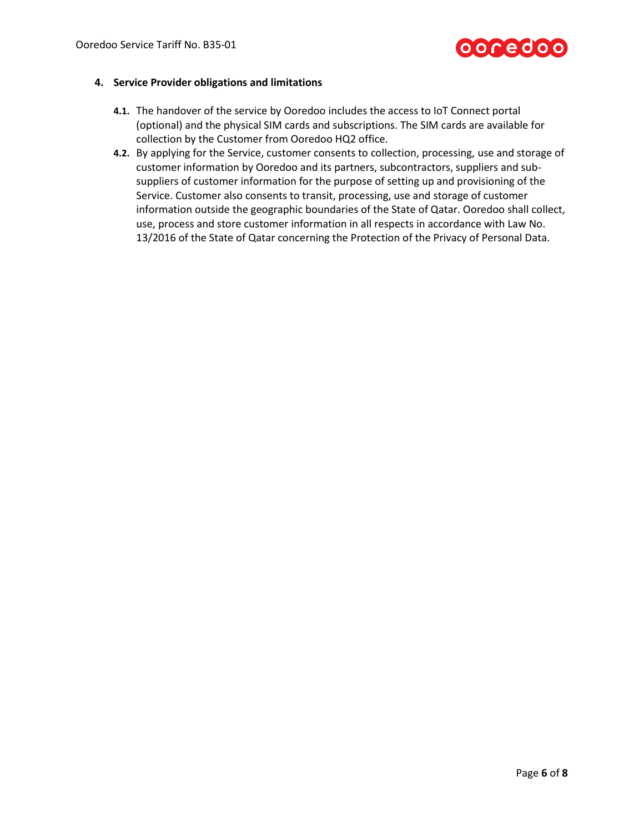

#### **4. Service Provider obligations and limitations**

- **4.1.** The handover of the service by Ooredoo includes the access to IoT Connect portal (optional) and the physical SIM cards and subscriptions. The SIM cards are available for collection by the Customer from Ooredoo HQ2 office.
- **4.2.** By applying for the Service, customer consents to collection, processing, use and storage of customer information by Ooredoo and its partners, subcontractors, suppliers and subsuppliers of customer information for the purpose of setting up and provisioning of the Service. Customer also consents to transit, processing, use and storage of customer information outside the geographic boundaries of the State of Qatar. Ooredoo shall collect, use, process and store customer information in all respects in accordance with Law No. 13/2016 of the State of Qatar concerning the Protection of the Privacy of Personal Data.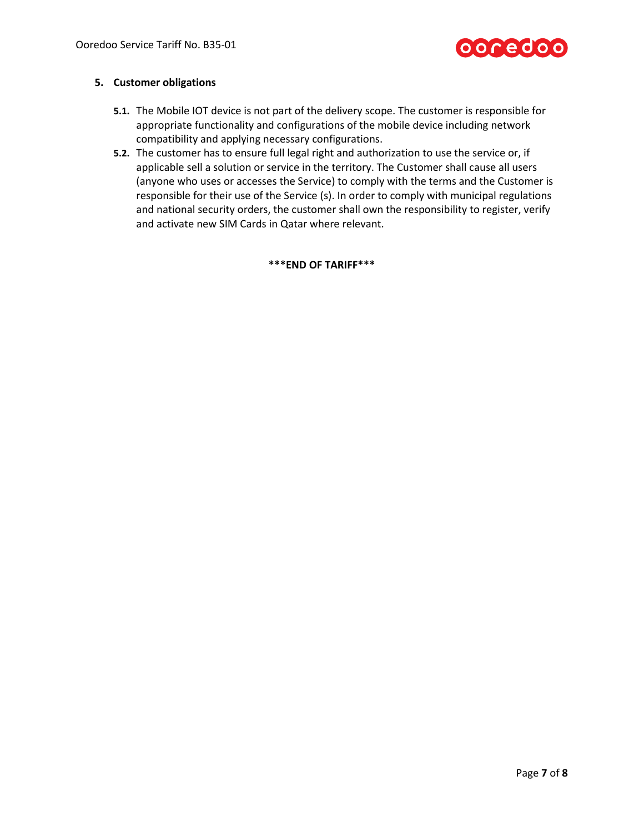

### **5. Customer obligations**

- **5.1.** The Mobile IOT device is not part of the delivery scope. The customer is responsible for appropriate functionality and configurations of the mobile device including network compatibility and applying necessary configurations.
- **5.2.** The customer has to ensure full legal right and authorization to use the service or, if applicable sell a solution or service in the territory. The Customer shall cause all users (anyone who uses or accesses the Service) to comply with the terms and the Customer is responsible for their use of the Service (s). In order to comply with municipal regulations and national security orders, the customer shall own the responsibility to register, verify and activate new SIM Cards in Qatar where relevant.

**\*\*\*END OF TARIFF\*\*\***